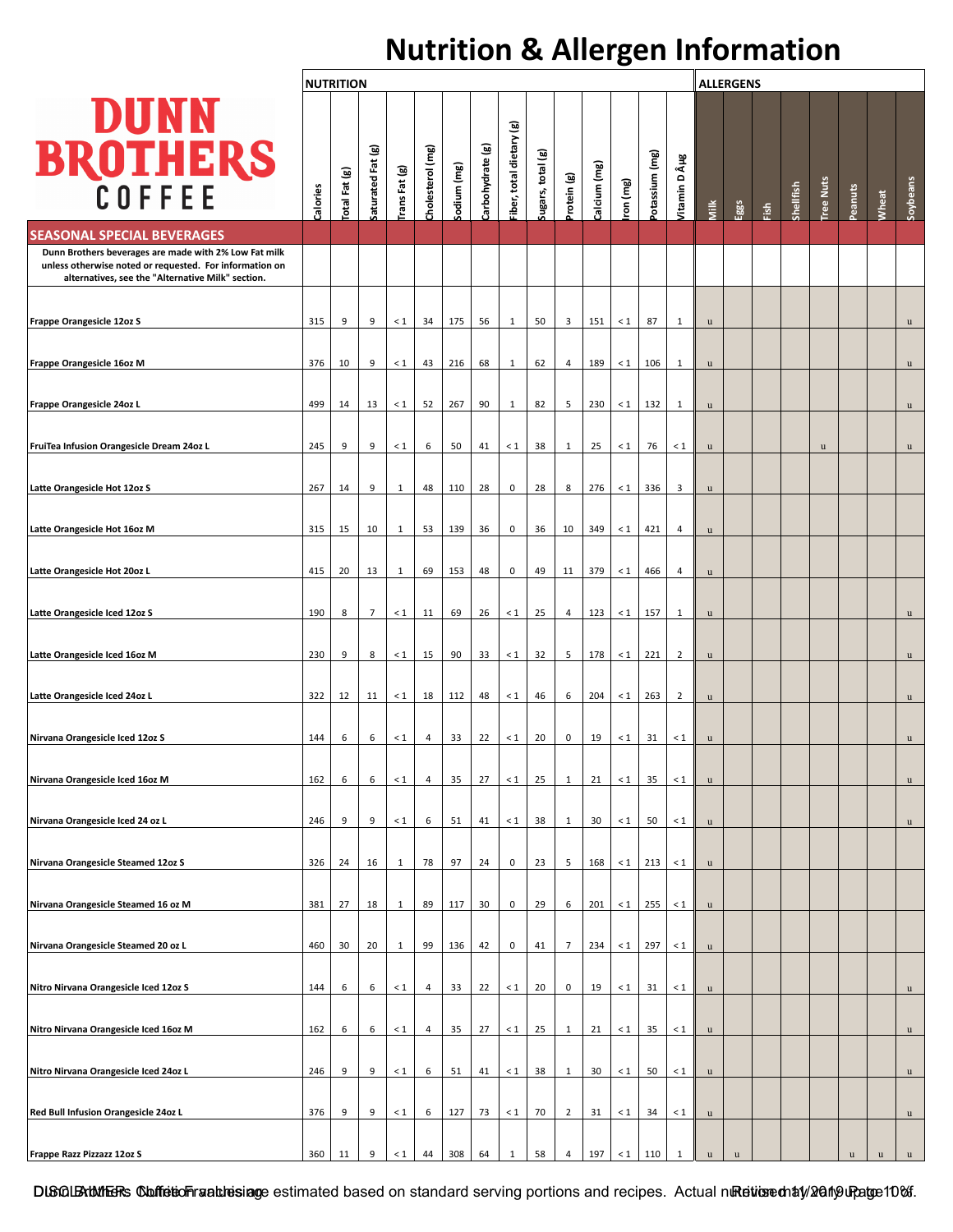## **Nutrition & Allergen Information**

|                                                                                                                                                                       |          | <b>NUTRITION</b> |                   |               |                  |             |                  |                         |                   |                |              |          | <b>ALLERGENS</b> |                |             |             |      |           |                  |         |             |              |
|-----------------------------------------------------------------------------------------------------------------------------------------------------------------------|----------|------------------|-------------------|---------------|------------------|-------------|------------------|-------------------------|-------------------|----------------|--------------|----------|------------------|----------------|-------------|-------------|------|-----------|------------------|---------|-------------|--------------|
| <b>DUNN</b><br><b>BROTHERS</b><br>COFFEE                                                                                                                              | Calories | otal Fat (g)     | Saturated Fat (g) | Trans Fat (g) | Cholesterol (mg) | Sodium (mg) | Carbohydrate (g) | iber, total dietary (g) | Sugars, total (g) | Protein (g)    | Calcium (mg) | ron (mg) | Potassium (mg)   | Jitamin D µg   | Milk        | Eggs        | daj; | Shellfish | <b>Tree Nuts</b> | Peanuts | Wheat       | Soybeans     |
| <b>SEASONAL SPECIAL BEVERAGES</b>                                                                                                                                     |          |                  |                   |               |                  |             |                  |                         |                   |                |              |          |                  |                |             |             |      |           |                  |         |             |              |
| Dunn Brothers beverages are made with 2% Low Fat milk<br>unless otherwise noted or requested. For information on<br>alternatives, see the "Alternative Milk" section. |          |                  |                   |               |                  |             |                  |                         |                   |                |              |          |                  |                |             |             |      |           |                  |         |             |              |
| Frappe Orangesicle 12oz S                                                                                                                                             | 315      | 9                | 9                 | $\leq 1$      | 34               | 175         | 56               | 1                       | 50                | $\overline{3}$ | 151          | $\leq 1$ | 87               | $\mathbf{1}$   | u           |             |      |           |                  |         |             | $\mathbf u$  |
| Frappe Orangesicle 16oz M                                                                                                                                             | 376      | 10               | 9                 | $\leq 1$      | 43               | 216         | 68               | 1                       | 62                | $\overline{4}$ | 189          | $\leq 1$ | 106              | $\mathbf{1}$   | $\mathbf u$ |             |      |           |                  |         |             | $\mathbf u$  |
| Frappe Orangesicle 24oz L                                                                                                                                             | 499      | 14               | 13                | $\leq 1$      | 52               | 267         | 90               | 1                       | 82                | 5              | 230          | $\leq 1$ | 132              | 1              | u           |             |      |           |                  |         |             | $\mathbf u$  |
|                                                                                                                                                                       |          |                  |                   |               |                  |             |                  |                         |                   |                |              |          |                  |                |             |             |      |           |                  |         |             |              |
| FruiTea Infusion Orangesicle Dream 24oz L                                                                                                                             | 245      | 9                | 9                 | $\leq 1$      | 6                | 50          | 41               | $\leq 1$                | 38                | $\mathbf{1}$   | 25           | $\leq 1$ | 76               | $\leq 1$       | u           |             |      |           | $\mathbf u$      |         |             | $\mathbf u$  |
| Latte Orangesicle Hot 12oz S                                                                                                                                          | 267      | 14               | 9                 | $\mathbf{1}$  | 48               | 110         | 28               | $\pmb{0}$               | 28                | 8              | 276          | < 1      | 336              | 3              | u           |             |      |           |                  |         |             |              |
| Latte Orangesicle Hot 16oz M                                                                                                                                          | 315      | 15               | 10                | $\mathbf{1}$  | 53               | 139         | 36               | $\pmb{0}$               | 36                | 10             | 349          | $\leq 1$ | 421              | $\overline{4}$ | $\mathbf u$ |             |      |           |                  |         |             |              |
| Latte Orangesicle Hot 20oz L                                                                                                                                          | 415      | 20               | 13                | $1\,$         | 69               | 153         | 48               | $\pmb{0}$               | 49                | 11             | 379          | $\leq 1$ | 466              | 4              | u           |             |      |           |                  |         |             |              |
| Latte Orangesicle Iced 12oz S                                                                                                                                         | 190      | 8                | $\overline{7}$    | $\leq 1$      | 11               | 69          | 26               | $\leq 1$                | 25                | $\overline{4}$ | 123          | $\leq 1$ | 157              | 1              | $\mathbf u$ |             |      |           |                  |         |             | u            |
| Latte Orangesicle Iced 16oz M                                                                                                                                         | 230      | 9                | 8                 | $\leq 1$      | 15               | 90          | 33               | $\leq 1$                | 32                | 5              | 178          | $\leq 1$ | 221              | $\overline{2}$ | $\mathbf u$ |             |      |           |                  |         |             | $\mathbf u$  |
| Latte Orangesicle Iced 24oz L                                                                                                                                         | 322      | 12               | 11                | $\leq 1$      | 18               | 112         | 48               | $\leq 1$                | 46                | 6              | 204          | $\leq 1$ | 263              | $\overline{2}$ | $\mathbf u$ |             |      |           |                  |         |             | $\mathbf u$  |
| Nirvana Orangesicle Iced 12oz S                                                                                                                                       | 144      | 6                | 6                 | $\leq 1$      | $\overline{4}$   | 33          | 22               | $\leq 1$                | 20                | $\mathbf 0$    | 19           | $\leq 1$ | 31               | $\leq 1$       | u           |             |      |           |                  |         |             | u            |
| Nirvana Orangesicle Iced 16oz M                                                                                                                                       | 162      | 6                | 6                 | $\leq 1$      | 4                | 35          | 27               | $\leq 1$                | 25                | $\mathbf{1}$   | 21           | $\leq 1$ | 35               | $\leq 1$       | u           |             |      |           |                  |         |             | u            |
| Nirvana Orangesicle Iced 24 oz L                                                                                                                                      | 246      | 9                | 9                 | $\leq 1$      | 6                | 51          | 41               | $\leq 1$                | 38                | $\mathbf{1}$   | 30           | $\leq 1$ | 50               | $\leq 1$       | u           |             |      |           |                  |         |             | u.           |
| Nirvana Orangesicle Steamed 12oz S                                                                                                                                    | 326      | 24               | 16                | $\mathbf{1}$  | 78               | 97          | 24               | $\pmb{0}$               | 23                | 5              | 168          | $\leq 1$ | 213              | $\leq 1$       | u           |             |      |           |                  |         |             |              |
|                                                                                                                                                                       |          |                  |                   |               |                  |             |                  |                         |                   |                |              |          |                  |                |             |             |      |           |                  |         |             |              |
| Nirvana Orangesicle Steamed 16 oz M                                                                                                                                   | 381      | 27               | 18                | $1\,$         | 89               | 117         | 30               | $\pmb{0}$               | 29                | 6              | 201          | $\leq 1$ | 255              | $\leq 1$       | u           |             |      |           |                  |         |             |              |
| Nirvana Orangesicle Steamed 20 oz L                                                                                                                                   | 460      | 30               | 20                | $\mathbf{1}$  | 99               | 136         | 42               | $\pmb{0}$               | 41                | $\overline{7}$ | 234          | $\leq 1$ | 297              | $\leq 1$       | $\mathbf u$ |             |      |           |                  |         |             |              |
| Nitro Nirvana Orangesicle Iced 12oz S                                                                                                                                 | 144      | 6                | 6                 | $\leq 1$      | 4                | 33          | 22               | $\leq 1$                | 20                | $\mathbf 0$    | 19           | $\leq 1$ | 31               | $\leq 1$       | u           |             |      |           |                  |         |             | $\mathbf{u}$ |
| Nitro Nirvana Orangesicle Iced 16oz M                                                                                                                                 | 162      | 6                | 6                 | $\leq 1$      | 4                | 35          | 27               | $\leq 1$                | 25                | $\mathbf{1}$   | 21           | $\leq 1$ | 35               | $\leq 1$       | u           |             |      |           |                  |         |             | u.           |
| Nitro Nirvana Orangesicle Iced 24oz L                                                                                                                                 | 246      | 9                | 9                 | $\leq 1$      | 6                | 51          | 41               | $\leq 1$                | 38                | $\mathbf{1}$   | 30           | $\leq 1$ | 50               | $\leq 1$       | $\mathbf u$ |             |      |           |                  |         |             | u            |
| Red Bull Infusion Orangesicle 24oz L                                                                                                                                  | 376      | 9                | 9                 | $\leq 1$      | 6                | 127         | 73               | $\leq 1$                | 70                | $\overline{2}$ | 31           | $\leq 1$ | 34               | $\leq 1$       | $\mathbf u$ |             |      |           |                  |         |             | u            |
| Frappe Razz Pizzazz 12oz S                                                                                                                                            | 360      | 11               | 9                 | $\leq 1$      | 44               | 308         | 64               | 1                       | 58                | $\overline{4}$ | 197          | $\leq 1$ | 110              | 1              | u           | $\mathbf u$ |      |           |                  | u       | $\mathbf u$ | $\mathbf u$  |

DISCLEXUMERS Confetion values age estimated based on standard serving portions and recipes. Actual nutrition edity/2019 up age 10%.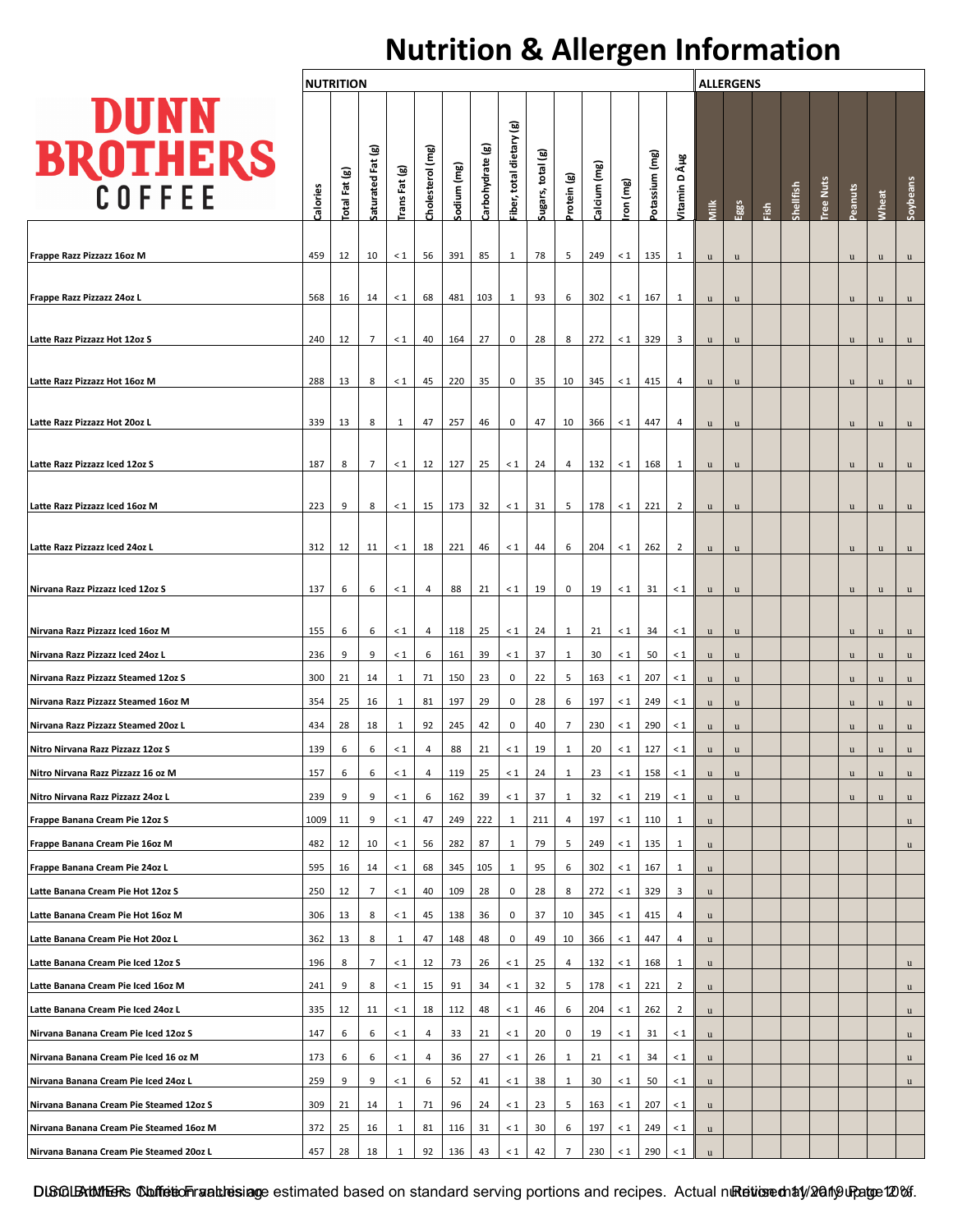## **Nutrition & Allergen Information**

|                                         |          | <b>NUTRITION</b> |                   |               |                  |             |                  |                           |                   |              |              |          | <b>ALLERGENS</b> |                |             |              |      |           |                  |             |             |             |
|-----------------------------------------|----------|------------------|-------------------|---------------|------------------|-------------|------------------|---------------------------|-------------------|--------------|--------------|----------|------------------|----------------|-------------|--------------|------|-----------|------------------|-------------|-------------|-------------|
| <b>DUNN</b><br><b>BROTHERS</b>          | Calories | Total Fat (g)    | Saturated Fat (g) | Trans Fat (g) | Cholesterol (mg) | sodium (mg) | Carbohydrate (g) | ම<br>Fiber, total dietary | Sugars, total (g) | Protein (g)  | Calcium (mg) | ron (mg) | otassium (mg)    | Vitamin D µg   | <b>Milk</b> | Eggs         | daj: | Shellfish | <b>Tree Nuts</b> | Peanuts     | Wheat       | Soybeans    |
|                                         |          |                  |                   |               |                  |             |                  |                           |                   |              |              |          |                  |                |             |              |      |           |                  |             |             |             |
| Frappe Razz Pizzazz 16oz M              | 459      | 12               | 10                | $\leq 1$      | 56               | 391         | 85               | 1                         | 78                | 5            | 249          | $\leq 1$ | 135              | 1              | u           | u            |      |           |                  | $\mathbf u$ | u           | u           |
| Frappe Razz Pizzazz 24oz L              | 568      | 16               | 14                | $\leq 1$      | 68               | 481         | 103              | 1                         | 93                | 6            | 302          | $\leq 1$ | 167              | 1              | u           | u            |      |           |                  | u           | u           | u           |
| Latte Razz Pizzazz Hot 12oz S           | 240      | 12               | $\overline{7}$    | $\leq 1$      | 40               | 164         | 27               | 0                         | 28                | 8            | 272          | $\leq 1$ | 329              | 3              | u           | $\mathbf u$  |      |           |                  | <b>u</b>    | u           | u           |
|                                         |          |                  |                   |               |                  |             |                  |                           |                   |              |              |          |                  |                |             |              |      |           |                  |             |             |             |
| Latte Razz Pizzazz Hot 16oz M           | 288      | 13               | 8                 | $\leq 1$      | 45               | 220         | 35               | 0                         | 35                | 10           | 345          | $\leq 1$ | 415              | 4              | <b>u</b>    | u            |      |           |                  | u           | $\mathbf u$ | u           |
| Latte Razz Pizzazz Hot 20oz L           | 339      | 13               | 8                 | 1             | 47               | 257         | 46               | 0                         | 47                | 10           | 366          | $\leq 1$ | 447              | 4              | u           | $\mathbf u$  |      |           |                  | u           | u           | u           |
| Latte Razz Pizzazz Iced 12oz S          | 187      | 8                | 7                 | $\leq 1$      | 12               | 127         | 25               | $\leq 1$                  | 24                | 4            | 132          | $\leq 1$ | 168              | 1              | u           | $\mathbf u$  |      |           |                  | u           | u           | u           |
|                                         |          |                  |                   |               |                  |             |                  |                           |                   |              |              |          |                  |                |             |              |      |           |                  |             |             |             |
| Latte Razz Pizzazz Iced 16oz M          | 223      | 9                | 8                 | $\leq 1$      | 15               | 173         | 32               | $\leq 1$                  | 31                | 5            | 178          | $\leq 1$ | 221              | $\overline{2}$ | u           | u            |      |           |                  | u           | u           | $\mathbf u$ |
| Latte Razz Pizzazz Iced 24oz L          | 312      | 12               | 11                | $\leq 1$      | 18               | 221         | 46               | $\leq 1$                  | 44                | 6            | 204          | $\leq 1$ | 262              | $\overline{2}$ | $\mathbf u$ | u            |      |           |                  | u           | u           | u           |
| Nirvana Razz Pizzazz Iced 12oz S        | 137      | 6                | 6                 | $\leq 1$      | 4                | 88          | 21               | $\leq 1$                  | 19                | 0            | 19           | $\leq 1$ | 31               | $\leq 1$       | u           | u            |      |           |                  | <b>u</b>    | u           | u           |
| Nirvana Razz Pizzazz Iced 16oz M        | 155      | 6                | 6                 | $\leq 1$      | 4                | 118         | 25               | $\leq 1$                  | 24                | 1            | 21           | $\leq 1$ | 34               | $\leq 1$       | u           | $\mathbf u$  |      |           |                  | u           | $\mathbf u$ | u           |
| Nirvana Razz Pizzazz Iced 24oz L        | 236      | 9                | 9                 | $\leq 1$      | 6                | 161         | 39               | $\leq 1$                  | 37                | 1            | 30           | $\leq 1$ | 50               | $\leq 1$       | u           | $\mathbf{u}$ |      |           |                  | u           | u           | u           |
| Nirvana Razz Pizzazz Steamed 12oz S     | 300      | 21               | 14                | 1             | 71               | 150         | 23               | 0                         | 22                | 5            | 163          | $\leq 1$ | 207              | $\leq 1$       | u           | $\mathbf u$  |      |           |                  | u           | $\mathbf u$ | u           |
| Nirvana Razz Pizzazz Steamed 16oz M     | 354      | 25               | 16                | 1             | 81               | 197         | 29               | 0                         | 28                | 6            | 197          | $\leq 1$ | 249              | $\leq 1$       | u           | $\mathbf u$  |      |           |                  | u           | u           | u           |
| Nirvana Razz Pizzazz Steamed 20oz L     | 434      | 28               | 18                | 1             | 92               | 245         | 42               | 0                         | 40                | 7            | 230          | $\leq 1$ | 290              | $\leq 1$       | u           | $\mathbf u$  |      |           |                  | u           | u           | u           |
| Nitro Nirvana Razz Pizzazz 12oz S       | 139      | 6                | 6                 | $\leq 1$      | 4                | 88          | 21               | $\leq 1$                  | 19                | 1            | 20           | $\leq 1$ | 127              | $\leq 1$       | u           | u            |      |           |                  | u           | u           | u           |
| Nitro Nirvana Razz Pizzazz 16 oz M      | 157      | 6                | 6                 | $\leq 1$      | 4                | 119         | 25               | $\leq 1$                  | 24                | 1            | 23           | $\leq 1$ | 158              | $\leq 1$       | u           | $\mathbf u$  |      |           |                  | u           | u           | u           |
| Nitro Nirvana Razz Pizzazz 24oz L       | 239      | 9                | 9                 | $\leq 1$      | 6                | 162         | 39               | $\leq 1$                  | 37                | $\mathbf{1}$ | 32           | $\leq 1$ | 219              | $\leq 1$       | u           | $\mathbf u$  |      |           |                  | u           | u           | u           |
| Frappe Banana Cream Pie 12oz S          | 1009     | 11               | 9                 | $\leq 1$      | 47               | 249         | 222              | 1                         | 211               | 4            | 197          | $\leq 1$ | 110              | $\mathbf{1}$   | u           |              |      |           |                  |             |             | u           |
| Frappe Banana Cream Pie 16oz M          | 482      | 12               | 10                | $\leq 1$      | 56               | 282         | 87               | 1                         | 79                | 5            | 249          | $\leq 1$ | 135              | 1              | u           |              |      |           |                  |             |             | u           |
| Frappe Banana Cream Pie 24oz L          | 595      | 16               | 14                | $\leq 1$      | 68               | 345         | 105              | 1                         | 95                | 6            | 302          | $\leq 1$ | 167              | 1              | u.          |              |      |           |                  |             |             |             |
| Latte Banana Cream Pie Hot 12oz S       | 250      | 12               | $\overline{7}$    | $\leq 1$      | 40               | 109         | 28               | 0                         | 28                | 8            | 272          | $\leq 1$ | 329              | 3              | u.          |              |      |           |                  |             |             |             |
| Latte Banana Cream Pie Hot 16oz M       | 306      | 13               | 8                 | $\leq 1$      | 45               | 138         | 36               | 0                         | 37                | 10           | 345          | $\leq 1$ | 415              | 4              | u           |              |      |           |                  |             |             |             |
| Latte Banana Cream Pie Hot 20oz L       | 362      | 13               | 8                 | $\mathbf{1}$  | 47               | 148         | 48               | 0                         | 49                | 10           | 366          | $\leq 1$ | 447              | 4              | $\mathbf u$ |              |      |           |                  |             |             |             |
| Latte Banana Cream Pie Iced 12oz S      | 196      | 8                | 7                 | $\leq 1$      | 12               | 73          | 26               | $\leq 1$                  | 25                | 4            | 132          | $\leq 1$ | 168              | 1              | u           |              |      |           |                  |             |             | u           |
| Latte Banana Cream Pie Iced 16oz M      | 241      | 9                | 8                 | $\leq 1$      | 15               | 91          | 34               | $\leq 1$                  | 32                | 5            | 178          | $\leq 1$ | 221              | $\overline{2}$ | $\mathbf u$ |              |      |           |                  |             |             | u           |
| Latte Banana Cream Pie Iced 24oz L      | 335      | 12               | 11                | $\leq 1$      | 18               | 112         | 48               | $\leq 1$                  | 46                | 6            | 204          | $\leq 1$ | 262              | $\overline{2}$ | $\mathbf u$ |              |      |           |                  |             |             | u           |
| Nirvana Banana Cream Pie Iced 12oz S    | 147      | 6                | 6                 | $\leq 1$      | 4                | 33          | 21               | $\leq 1$                  | 20                | 0            | 19           | $\leq 1$ | 31               | $\leq 1$       | u           |              |      |           |                  |             |             | u           |
| Nirvana Banana Cream Pie Iced 16 oz M   | 173      | 6                | 6                 | $\leq 1$      | 4                | 36          | 27               | $\leq 1$                  | 26                | 1            | 21           | $\leq 1$ | 34               | $\leq 1$       | u           |              |      |           |                  |             |             | u           |
| Nirvana Banana Cream Pie Iced 24oz L    | 259      | 9                | 9                 | $\leq 1$      | 6                | 52          | 41               | $\leq 1$                  | 38                | 1            | 30           | $\leq 1$ | 50               | $\leq 1$       | u           |              |      |           |                  |             |             | u           |
| Nirvana Banana Cream Pie Steamed 12oz S | 309      | 21               | 14                | 1             | 71               | 96          | 24               | $\leq 1$                  | 23                | 5            | 163          | $\leq 1$ | 207              | $\leq 1$       | u           |              |      |           |                  |             |             |             |
| Nirvana Banana Cream Pie Steamed 16oz M | 372      | 25               | 16                | 1             | 81               | 116         | 31               | $\leq 1$                  | 30                | 6            | 197          | $\leq 1$ | 249              | $\leq 1$       | u           |              |      |           |                  |             |             |             |
| Nirvana Banana Cream Pie Steamed 20oz L | 457      | 28               | 18                | 1             | 92               | 136         | 43               | $\leq 1$                  | 42                | 7            | 230          | $\leq 1$ | 290              | $\leq 1$       | u           |              |      |           |                  |             |             |             |

DISCLEXUMERs Confetion values age estimated based on standard serving portions and recipes. Actual nutrition edity/2019 up age 120%.